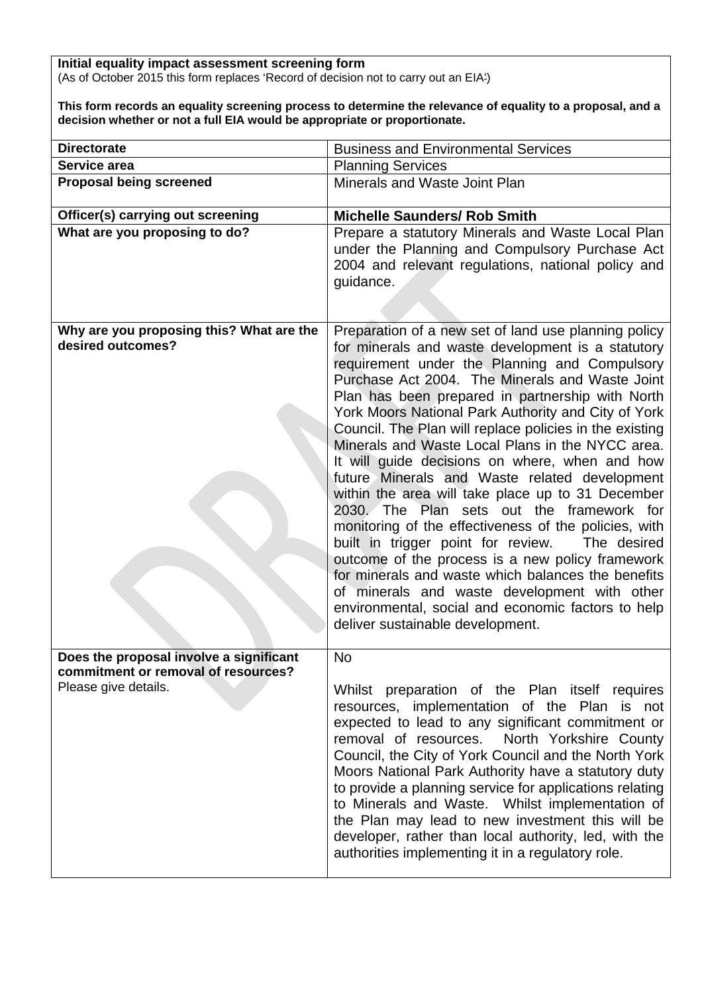**Initial equality impact assessment screening form**  (As of October 2015 this form replaces 'Record of decision not to carry out an EIA')

**This form records an equality screening process to determine the relevance of equality to a proposal, and a decision whether or not a full EIA would be appropriate or proportionate.** 

| <b>Directorate</b>                                                             | <b>Business and Environmental Services</b>                                                                                                                                                                                                                                                                                                                                                                                                                                                                                                                                                                                                                                                                                                                                                                                                                                                                                                                                                                     |  |  |  |
|--------------------------------------------------------------------------------|----------------------------------------------------------------------------------------------------------------------------------------------------------------------------------------------------------------------------------------------------------------------------------------------------------------------------------------------------------------------------------------------------------------------------------------------------------------------------------------------------------------------------------------------------------------------------------------------------------------------------------------------------------------------------------------------------------------------------------------------------------------------------------------------------------------------------------------------------------------------------------------------------------------------------------------------------------------------------------------------------------------|--|--|--|
| Service area                                                                   | <b>Planning Services</b>                                                                                                                                                                                                                                                                                                                                                                                                                                                                                                                                                                                                                                                                                                                                                                                                                                                                                                                                                                                       |  |  |  |
| <b>Proposal being screened</b>                                                 | Minerals and Waste Joint Plan                                                                                                                                                                                                                                                                                                                                                                                                                                                                                                                                                                                                                                                                                                                                                                                                                                                                                                                                                                                  |  |  |  |
| Officer(s) carrying out screening                                              | <b>Michelle Saunders/ Rob Smith</b>                                                                                                                                                                                                                                                                                                                                                                                                                                                                                                                                                                                                                                                                                                                                                                                                                                                                                                                                                                            |  |  |  |
| What are you proposing to do?                                                  | Prepare a statutory Minerals and Waste Local Plan<br>under the Planning and Compulsory Purchase Act<br>2004 and relevant regulations, national policy and<br>guidance.                                                                                                                                                                                                                                                                                                                                                                                                                                                                                                                                                                                                                                                                                                                                                                                                                                         |  |  |  |
| Why are you proposing this? What are the<br>desired outcomes?                  | Preparation of a new set of land use planning policy<br>for minerals and waste development is a statutory<br>requirement under the Planning and Compulsory<br>Purchase Act 2004. The Minerals and Waste Joint<br>Plan has been prepared in partnership with North<br>York Moors National Park Authority and City of York<br>Council. The Plan will replace policies in the existing<br>Minerals and Waste Local Plans in the NYCC area.<br>It will guide decisions on where, when and how<br>future Minerals and Waste related development<br>within the area will take place up to 31 December<br>2030. The Plan sets out the framework for<br>monitoring of the effectiveness of the policies, with<br>built in trigger point for review.<br>The desired<br>outcome of the process is a new policy framework<br>for minerals and waste which balances the benefits<br>of minerals and waste development with other<br>environmental, social and economic factors to help<br>deliver sustainable development. |  |  |  |
| Does the proposal involve a significant<br>commitment or removal of resources? | <b>No</b>                                                                                                                                                                                                                                                                                                                                                                                                                                                                                                                                                                                                                                                                                                                                                                                                                                                                                                                                                                                                      |  |  |  |
| Please give details.                                                           | Whilst preparation of the Plan itself requires<br>resources, implementation of the Plan is not<br>expected to lead to any significant commitment or<br>removal of resources. North Yorkshire County<br>Council, the City of York Council and the North York<br>Moors National Park Authority have a statutory duty<br>to provide a planning service for applications relating<br>to Minerals and Waste. Whilst implementation of<br>the Plan may lead to new investment this will be<br>developer, rather than local authority, led, with the<br>authorities implementing it in a regulatory role.                                                                                                                                                                                                                                                                                                                                                                                                             |  |  |  |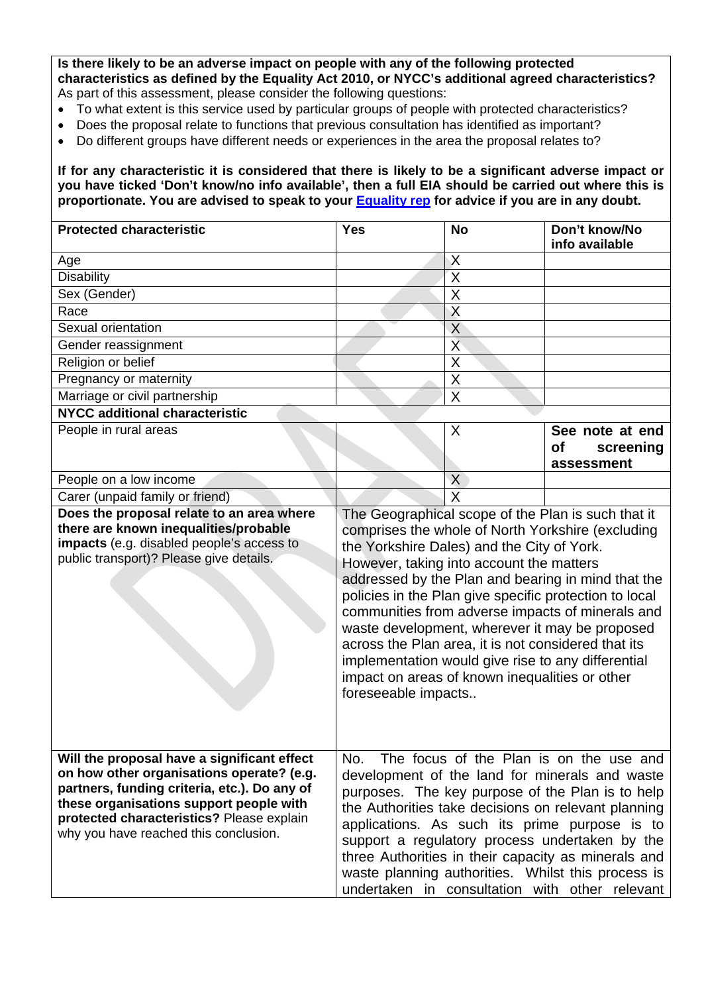**Is there likely to be an adverse impact on people with any of the following protected characteristics as defined by the Equality Act 2010, or NYCC's additional agreed characteristics?**  As part of this assessment, please consider the following questions:

- To what extent is this service used by particular groups of people with protected characteristics?
- Does the proposal relate to functions that previous consultation has identified as important?
- Do different groups have different needs or experiences in the area the proposal relates to?

**If for any characteristic it is considered that there is likely to be a significant adverse impact or you have ticked 'Don't know/no info available', then a full EIA should be carried out where this is proportionate. You are advised to speak to your Equality rep for advice if you are in any doubt.** 

| <b>Protected characteristic</b>                                                                                                                                                                                                                                           | <b>Yes</b>                                                                                                                                                                                                                                                                                                                                                                                                                                                                                                                                                                                                    | <b>No</b>               | Don't know/No<br>info available |  |  |
|---------------------------------------------------------------------------------------------------------------------------------------------------------------------------------------------------------------------------------------------------------------------------|---------------------------------------------------------------------------------------------------------------------------------------------------------------------------------------------------------------------------------------------------------------------------------------------------------------------------------------------------------------------------------------------------------------------------------------------------------------------------------------------------------------------------------------------------------------------------------------------------------------|-------------------------|---------------------------------|--|--|
| Age                                                                                                                                                                                                                                                                       |                                                                                                                                                                                                                                                                                                                                                                                                                                                                                                                                                                                                               | $\times$                |                                 |  |  |
| <b>Disability</b>                                                                                                                                                                                                                                                         |                                                                                                                                                                                                                                                                                                                                                                                                                                                                                                                                                                                                               | $\mathsf{X}$            |                                 |  |  |
| Sex (Gender)                                                                                                                                                                                                                                                              |                                                                                                                                                                                                                                                                                                                                                                                                                                                                                                                                                                                                               | $\overline{X}$          |                                 |  |  |
| Race                                                                                                                                                                                                                                                                      |                                                                                                                                                                                                                                                                                                                                                                                                                                                                                                                                                                                                               | $\overline{X}$          |                                 |  |  |
| Sexual orientation                                                                                                                                                                                                                                                        |                                                                                                                                                                                                                                                                                                                                                                                                                                                                                                                                                                                                               | X                       |                                 |  |  |
| Gender reassignment                                                                                                                                                                                                                                                       |                                                                                                                                                                                                                                                                                                                                                                                                                                                                                                                                                                                                               | $\overline{X}$          |                                 |  |  |
| Religion or belief                                                                                                                                                                                                                                                        |                                                                                                                                                                                                                                                                                                                                                                                                                                                                                                                                                                                                               | $\mathsf X$             |                                 |  |  |
| Pregnancy or maternity                                                                                                                                                                                                                                                    |                                                                                                                                                                                                                                                                                                                                                                                                                                                                                                                                                                                                               | $\overline{X}$          |                                 |  |  |
| Marriage or civil partnership                                                                                                                                                                                                                                             |                                                                                                                                                                                                                                                                                                                                                                                                                                                                                                                                                                                                               | $\overline{\mathsf{x}}$ |                                 |  |  |
| <b>NYCC additional characteristic</b>                                                                                                                                                                                                                                     |                                                                                                                                                                                                                                                                                                                                                                                                                                                                                                                                                                                                               |                         |                                 |  |  |
| People in rural areas                                                                                                                                                                                                                                                     |                                                                                                                                                                                                                                                                                                                                                                                                                                                                                                                                                                                                               | X                       | See note at end                 |  |  |
|                                                                                                                                                                                                                                                                           |                                                                                                                                                                                                                                                                                                                                                                                                                                                                                                                                                                                                               |                         | of<br>screening                 |  |  |
|                                                                                                                                                                                                                                                                           |                                                                                                                                                                                                                                                                                                                                                                                                                                                                                                                                                                                                               |                         | assessment                      |  |  |
| People on a low income                                                                                                                                                                                                                                                    |                                                                                                                                                                                                                                                                                                                                                                                                                                                                                                                                                                                                               | X                       |                                 |  |  |
| Carer (unpaid family or friend)                                                                                                                                                                                                                                           |                                                                                                                                                                                                                                                                                                                                                                                                                                                                                                                                                                                                               | $\overline{\mathsf{x}}$ |                                 |  |  |
| Does the proposal relate to an area where<br>there are known inequalities/probable<br>impacts (e.g. disabled people's access to<br>public transport)? Please give details.                                                                                                | The Geographical scope of the Plan is such that it<br>comprises the whole of North Yorkshire (excluding<br>the Yorkshire Dales) and the City of York.<br>However, taking into account the matters<br>addressed by the Plan and bearing in mind that the<br>policies in the Plan give specific protection to local<br>communities from adverse impacts of minerals and<br>waste development, wherever it may be proposed<br>across the Plan area, it is not considered that its<br>implementation would give rise to any differential<br>impact on areas of known inequalities or other<br>foreseeable impacts |                         |                                 |  |  |
| Will the proposal have a significant effect<br>on how other organisations operate? (e.g.<br>partners, funding criteria, etc.). Do any of<br>these organisations support people with<br>protected characteristics? Please explain<br>why you have reached this conclusion. | No. The focus of the Plan is on the use and<br>development of the land for minerals and waste<br>purposes. The key purpose of the Plan is to help<br>the Authorities take decisions on relevant planning<br>applications. As such its prime purpose is to<br>support a regulatory process undertaken by the<br>three Authorities in their capacity as minerals and<br>waste planning authorities. Whilst this process is<br>undertaken in consultation with other relevant                                                                                                                                    |                         |                                 |  |  |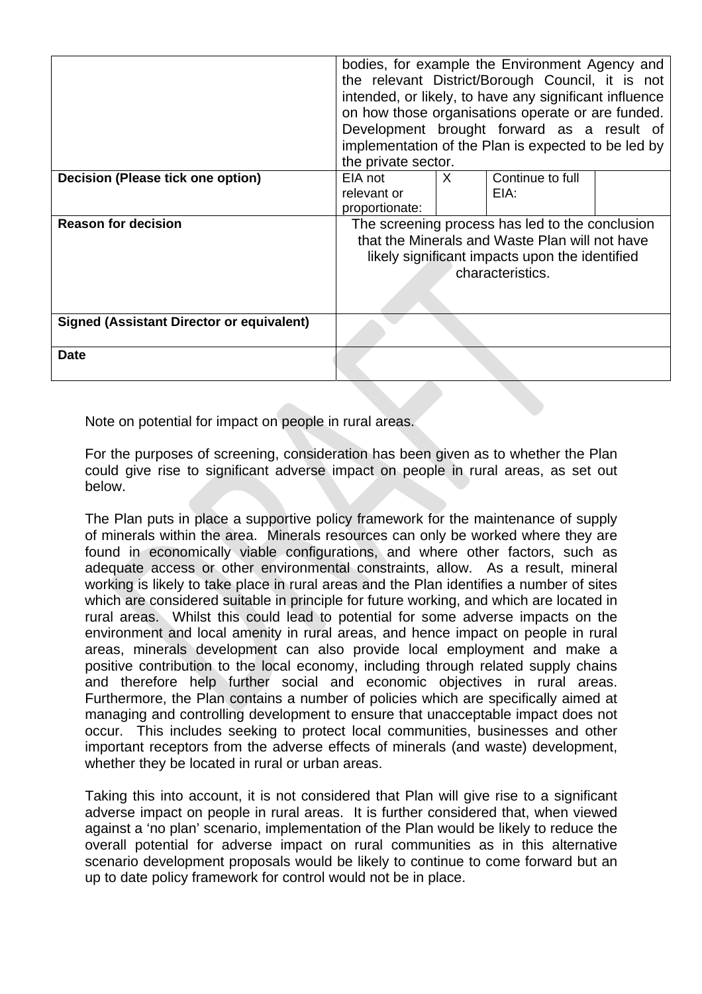|                                                  | bodies, for example the Environment Agency and<br>the relevant District/Borough Council, it is not<br>intended, or likely, to have any significant influence<br>on how those organisations operate or are funded.<br>Development brought forward as a result of<br>implementation of the Plan is expected to be led by<br>the private sector. |    |                          |  |  |
|--------------------------------------------------|-----------------------------------------------------------------------------------------------------------------------------------------------------------------------------------------------------------------------------------------------------------------------------------------------------------------------------------------------|----|--------------------------|--|--|
| Decision (Please tick one option)                | EIA not<br>relevant or<br>proportionate:                                                                                                                                                                                                                                                                                                      | X. | Continue to full<br>EIA: |  |  |
| <b>Reason for decision</b>                       | The screening process has led to the conclusion<br>that the Minerals and Waste Plan will not have<br>likely significant impacts upon the identified<br>characteristics.                                                                                                                                                                       |    |                          |  |  |
| <b>Signed (Assistant Director or equivalent)</b> |                                                                                                                                                                                                                                                                                                                                               |    |                          |  |  |
| <b>Date</b>                                      |                                                                                                                                                                                                                                                                                                                                               |    |                          |  |  |

Note on potential for impact on people in rural areas.

For the purposes of screening, consideration has been given as to whether the Plan could give rise to significant adverse impact on people in rural areas, as set out below.

The Plan puts in place a supportive policy framework for the maintenance of supply of minerals within the area. Minerals resources can only be worked where they are found in economically viable configurations, and where other factors, such as adequate access or other environmental constraints, allow. As a result, mineral working is likely to take place in rural areas and the Plan identifies a number of sites which are considered suitable in principle for future working, and which are located in rural areas. Whilst this could lead to potential for some adverse impacts on the environment and local amenity in rural areas, and hence impact on people in rural areas, minerals development can also provide local employment and make a positive contribution to the local economy, including through related supply chains and therefore help further social and economic objectives in rural areas. Furthermore, the Plan contains a number of policies which are specifically aimed at managing and controlling development to ensure that unacceptable impact does not occur. This includes seeking to protect local communities, businesses and other important receptors from the adverse effects of minerals (and waste) development, whether they be located in rural or urban areas.

Taking this into account, it is not considered that Plan will give rise to a significant adverse impact on people in rural areas. It is further considered that, when viewed against a 'no plan' scenario, implementation of the Plan would be likely to reduce the overall potential for adverse impact on rural communities as in this alternative scenario development proposals would be likely to continue to come forward but an up to date policy framework for control would not be in place.